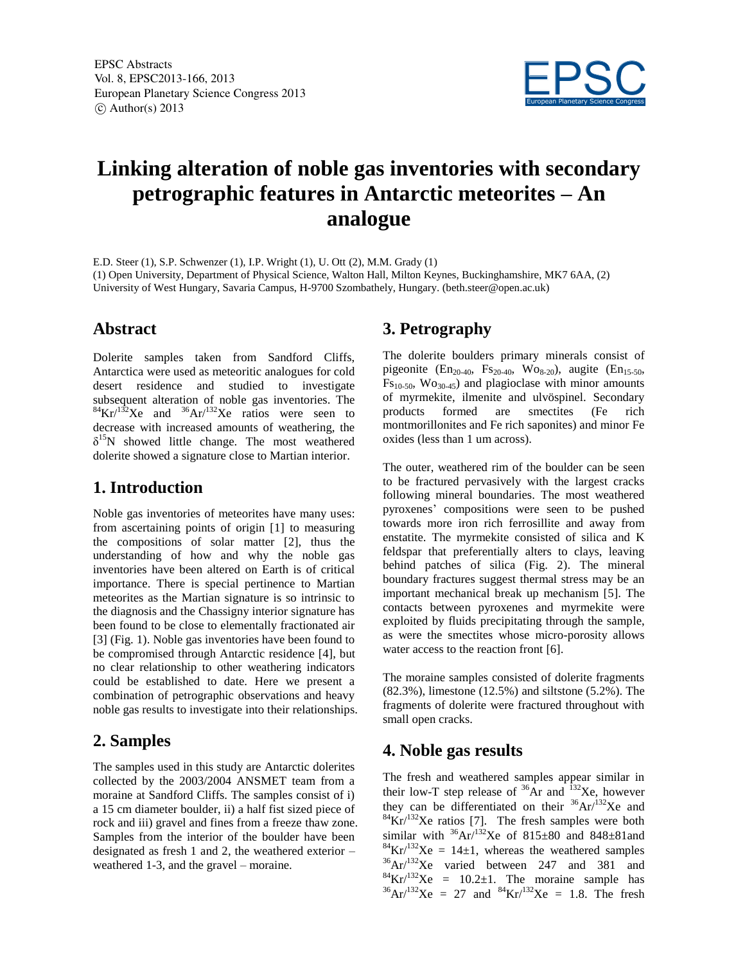

# **Linking alteration of noble gas inventories with secondary petrographic features in Antarctic meteorites – An analogue**

E.D. Steer (1), S.P. Schwenzer (1), I.P. Wright (1), U. Ott (2), M.M. Grady (1) (1) Open University, Department of Physical Science, Walton Hall, Milton Keynes, Buckinghamshire, MK7 6AA, (2) University of West Hungary, Savaria Campus, H-9700 Szombathely, Hungary. (beth.steer@open.ac.uk)

### **Abstract**

Dolerite samples taken from Sandford Cliffs, Antarctica were used as meteoritic analogues for cold desert residence and studied to investigate subsequent alteration of noble gas inventories. The  ${}^{84}\text{Kr} / {}^{132}\text{X}$ e and  ${}^{36}\text{Ar} / {}^{132}\text{X}$ e ratios were seen to decrease with increased amounts of weathering, the  $\delta^{15}$ N showed little change. The most weathered dolerite showed a signature close to Martian interior.

# **1. Introduction**

Noble gas inventories of meteorites have many uses: from ascertaining points of origin [1] to measuring the compositions of solar matter [2], thus the understanding of how and why the noble gas inventories have been altered on Earth is of critical importance. There is special pertinence to Martian meteorites as the Martian signature is so intrinsic to the diagnosis and the Chassigny interior signature has been found to be close to elementally fractionated air [3] (Fig. 1). Noble gas inventories have been found to be compromised through Antarctic residence [4], but no clear relationship to other weathering indicators could be established to date. Here we present a combination of petrographic observations and heavy noble gas results to investigate into their relationships.

# **2. Samples**

The samples used in this study are Antarctic dolerites collected by the 2003/2004 ANSMET team from a moraine at Sandford Cliffs. The samples consist of i) a 15 cm diameter boulder, ii) a half fist sized piece of rock and iii) gravel and fines from a freeze thaw zone. Samples from the interior of the boulder have been designated as fresh 1 and 2, the weathered exterior – weathered 1-3, and the gravel – moraine.

# **3. Petrography**

The dolerite boulders primary minerals consist of pigeonite (En<sub>20-40</sub>, Fs<sub>20-40</sub>, Wo<sub>8-20</sub>), augite (En<sub>15-50</sub>,  $Fs_{10-50}$ ,  $Wo_{30-45}$ ) and plagioclase with minor amounts of myrmekite, ilmenite and ulvöspinel. Secondary products formed are smectites (Fe rich montmorillonites and Fe rich saponites) and minor Fe oxides (less than 1 um across).

The outer, weathered rim of the boulder can be seen to be fractured pervasively with the largest cracks following mineral boundaries. The most weathered pyroxenes' compositions were seen to be pushed towards more iron rich ferrosillite and away from enstatite. The myrmekite consisted of silica and K feldspar that preferentially alters to clays, leaving behind patches of silica (Fig. 2). The mineral boundary fractures suggest thermal stress may be an important mechanical break up mechanism [5]. The contacts between pyroxenes and myrmekite were exploited by fluids precipitating through the sample, as were the smectites whose micro-porosity allows water access to the reaction front [6].

The moraine samples consisted of dolerite fragments (82.3%), limestone (12.5%) and siltstone (5.2%). The fragments of dolerite were fractured throughout with small open cracks.

# **4. Noble gas results**

The fresh and weathered samples appear similar in their low-T step release of  $^{36}$ Ar and  $^{132}$ Xe, however they can be differentiated on their  ${}^{36}Ar/{}^{132}Xe$  and  $84$ Kr/ $132$ Xe ratios [7]. The fresh samples were both similar with  ${}^{36}Ar/{}^{132}Xe$  of 815±80 and 848±81and  ${}^{84}\text{Kr} / {}^{132}\text{Xe} = 14 \pm 1$ , whereas the weathered samples  $36$ Ar/ $132$ Xe varied between 247 and 381 and  ${}^{84}\text{Kr}/{}^{132}\text{Xe}$  = 10.2 $\pm$ 1. The moraine sample has  ${}^{36}Ar/{}^{132}Xe = 27$  and  ${}^{84}Kr/{}^{132}Xe = 1.8$ . The fresh